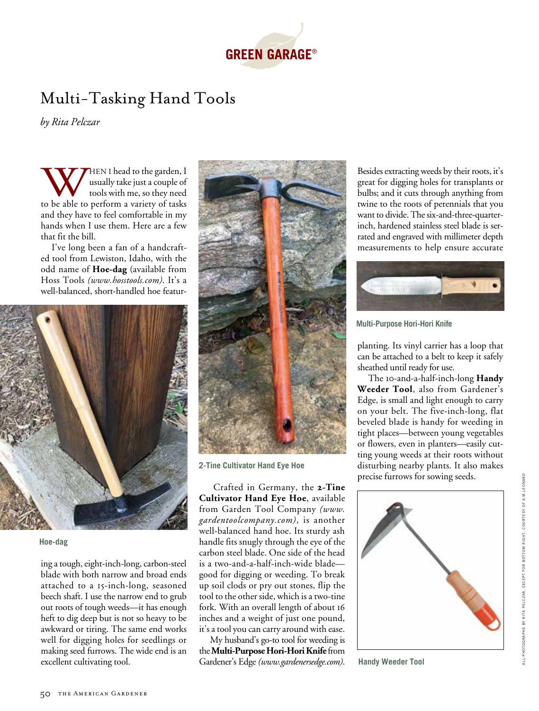

## Multi-Tasking Hand Tools

*by Rita Pelczar*

WHEN I head to the garden, I usually take just a couple of tools with me, so they need to be able to perform a variety of tasks usually take just a couple of tools with me, so they need and they have to feel comfortable in my hands when I use them. Here are a few that fit the bill.

I've long been a fan of a handcrafted tool from Lewiston, Idaho, with the odd name of **Hoe-dag** (available from Hoss Tools *(www.hosstools.com)*. It's a well-balanced, short-handled hoe featur-



## **Hoe-dag**

ing a tough, eight-inch-long, carbon-steel blade with both narrow and broad ends attached to a 15-inch-long, seasoned beech shaft. I use the narrow end to grub out roots of tough weeds—it has enough heft to dig deep but is not so heavy to be awkward or tiring. The same end works well for digging holes for seedlings or making seed furrows. The wide end is an excellent cultivating tool.



**2-Tine Cultivator Hand Eye Hoe**

 Crafted in Germany, the **2-Tine Cultivator Hand Eye Hoe**, available from Garden Tool Company *(www. gardentoolcompany.com)*, is another well-balanced hand hoe. Its sturdy ash handle fits snugly through the eye of the carbon steel blade. One side of the head is a two-and-a-half-inch-wide blade good for digging or weeding. To break up soil clods or pry out stones, flip the tool to the other side, which is a two-tine fork. With an overall length of about 16 inches and a weight of just one pound, it's a tool you can carry around with ease.

My husband's go-to tool for weeding is the **Multi-Purpose Hori-Hori Knife** from Gardener's Edge *(www.gardenersedge.com)*. Besides extracting weeds by their roots, it's great for digging holes for transplants or bulbs; and it cuts through anything from twine to the roots of perennials that you want to divide. The six-and-three-quarterinch, hardened stainless steel blade is serrated and engraved with millimeter depth measurements to help ensure accurate



**Multi-Purpose Hori-Hori Knife**

planting. Its vinyl carrier has a loop that can be attached to a belt to keep it safely sheathed until ready for use.

The 10-and-a-half-inch-long **Handy Weeder Tool**, also from Gardener's Edge, is small and light enough to carry on your belt. The five-inch-long, flat beveled blade is handy for weeding in tight places—between young vegetables or flowers, even in planters—easily cutting young weeds at their roots without disturbing nearby plants. It also makes precise furrows for sowing seeds.



**Handy Weeder Tool**